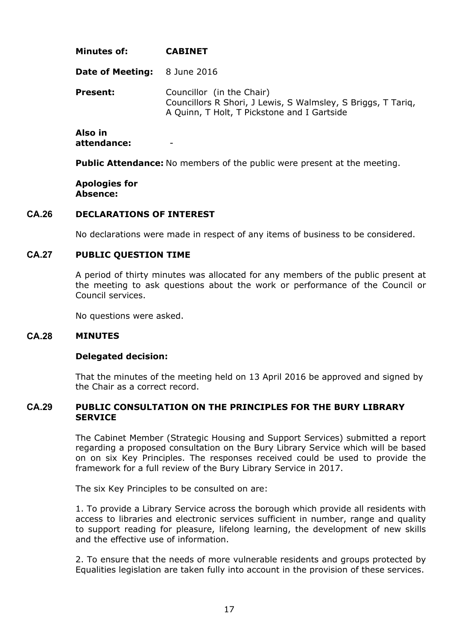| Minutes of:                         | <b>CABINET</b>                                                                                                                           |
|-------------------------------------|------------------------------------------------------------------------------------------------------------------------------------------|
| <b>Date of Meeting:</b> 8 June 2016 |                                                                                                                                          |
| <b>Present:</b>                     | Councillor (in the Chair)<br>Councillors R Shori, J Lewis, S Walmsley, S Briggs, T Tarig,<br>A Quinn, T Holt, T Pickstone and I Gartside |
| Also in                             |                                                                                                                                          |

**attendance:** -

**Public Attendance:** No members of the public were present at the meeting.

**Apologies for Absence:**

### **CA.26 DECLARATIONS OF INTEREST**

No declarations were made in respect of any items of business to be considered.

### **CA.27 PUBLIC QUESTION TIME**

A period of thirty minutes was allocated for any members of the public present at the meeting to ask questions about the work or performance of the Council or Council services.

No questions were asked.

#### **CA.28 MINUTES**

#### **Delegated decision:**

That the minutes of the meeting held on 13 April 2016 be approved and signed by the Chair as a correct record.

### **CA.29 PUBLIC CONSULTATION ON THE PRINCIPLES FOR THE BURY LIBRARY SERVICE**

The Cabinet Member (Strategic Housing and Support Services) submitted a report regarding a proposed consultation on the Bury Library Service which will be based on on six Key Principles. The responses received could be used to provide the framework for a full review of the Bury Library Service in 2017.

The six Key Principles to be consulted on are:

1. To provide a Library Service across the borough which provide all residents with access to libraries and electronic services sufficient in number, range and quality to support reading for pleasure, lifelong learning, the development of new skills and the effective use of information.

2. To ensure that the needs of more vulnerable residents and groups protected by Equalities legislation are taken fully into account in the provision of these services.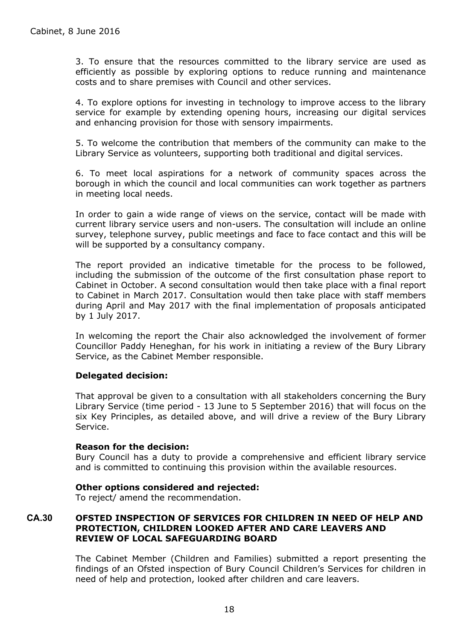3. To ensure that the resources committed to the library service are used as efficiently as possible by exploring options to reduce running and maintenance costs and to share premises with Council and other services.

4. To explore options for investing in technology to improve access to the library service for example by extending opening hours, increasing our digital services and enhancing provision for those with sensory impairments.

5. To welcome the contribution that members of the community can make to the Library Service as volunteers, supporting both traditional and digital services.

6. To meet local aspirations for a network of community spaces across the borough in which the council and local communities can work together as partners in meeting local needs.

In order to gain a wide range of views on the service, contact will be made with current library service users and non-users. The consultation will include an online survey, telephone survey, public meetings and face to face contact and this will be will be supported by a consultancy company.

The report provided an indicative timetable for the process to be followed, including the submission of the outcome of the first consultation phase report to Cabinet in October. A second consultation would then take place with a final report to Cabinet in March 2017. Consultation would then take place with staff members during April and May 2017 with the final implementation of proposals anticipated by 1 July 2017.

In welcoming the report the Chair also acknowledged the involvement of former Councillor Paddy Heneghan, for his work in initiating a review of the Bury Library Service, as the Cabinet Member responsible.

# **Delegated decision:**

That approval be given to a consultation with all stakeholders concerning the Bury Library Service (time period - 13 June to 5 September 2016) that will focus on the six Key Principles, as detailed above, and will drive a review of the Bury Library Service.

### **Reason for the decision:**

Bury Council has a duty to provide a comprehensive and efficient library service and is committed to continuing this provision within the available resources.

### **Other options considered and rejected:**

To reject/ amend the recommendation.

# **CA.30 OFSTED INSPECTION OF SERVICES FOR CHILDREN IN NEED OF HELP AND PROTECTION, CHILDREN LOOKED AFTER AND CARE LEAVERS AND REVIEW OF LOCAL SAFEGUARDING BOARD**

The Cabinet Member (Children and Families) submitted a report presenting the findings of an Ofsted inspection of Bury Council Children's Services for children in need of help and protection, looked after children and care leavers.